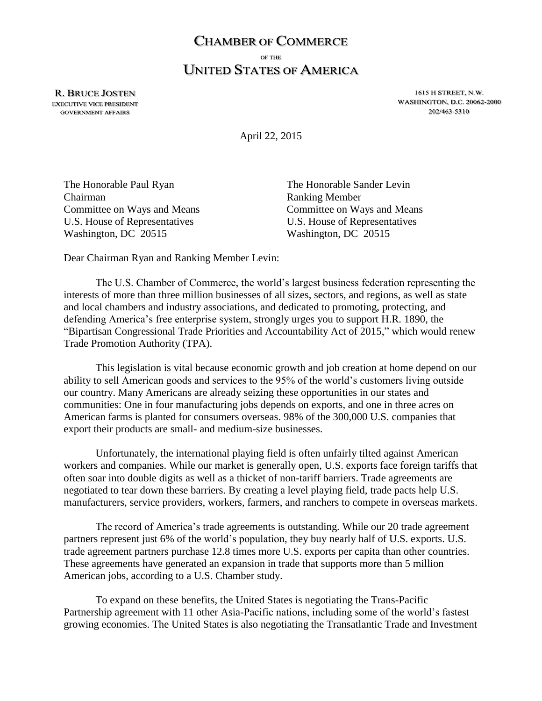## **CHAMBER OF COMMERCE** OF THE **UNITED STATES OF AMERICA**

**R. BRUCE JOSTEN EXECUTIVE VICE PRESIDENT GOVERNMENT AFFAIRS** 

1615 H STREET, N.W. WASHINGTON, D.C. 20062-2000 202/463-5310

April 22, 2015

The Honorable Paul Ryan The Honorable Sander Levin Chairman Ranking Member U.S. House of Representatives U.S. House of Representatives Washington, DC 20515 Washington, DC 20515

Committee on Ways and Means Committee on Ways and Means

Dear Chairman Ryan and Ranking Member Levin:

The U.S. Chamber of Commerce, the world's largest business federation representing the interests of more than three million businesses of all sizes, sectors, and regions, as well as state and local chambers and industry associations, and dedicated to promoting, protecting, and defending America's free enterprise system, strongly urges you to support H.R. 1890, the "Bipartisan Congressional Trade Priorities and Accountability Act of 2015," which would renew Trade Promotion Authority (TPA).

This legislation is vital because economic growth and job creation at home depend on our ability to sell American goods and services to the 95% of the world's customers living outside our country. Many Americans are already seizing these opportunities in our states and communities: One in four manufacturing jobs depends on exports, and one in three acres on American farms is planted for consumers overseas. 98% of the 300,000 U.S. companies that export their products are small- and medium-size businesses.

Unfortunately, the international playing field is often unfairly tilted against American workers and companies. While our market is generally open, U.S. exports face foreign tariffs that often soar into double digits as well as a thicket of non-tariff barriers. Trade agreements are negotiated to tear down these barriers. By creating a level playing field, trade pacts help U.S. manufacturers, service providers, workers, farmers, and ranchers to compete in overseas markets.

The record of America's trade agreements is outstanding. While our 20 trade agreement partners represent just 6% of the world's population, they buy nearly half of U.S. exports. U.S. trade agreement partners purchase 12.8 times more U.S. exports per capita than other countries. These agreements have generated an expansion in trade that supports more than 5 million American jobs, according to a U.S. Chamber study.

To expand on these benefits, the United States is negotiating the Trans-Pacific Partnership agreement with 11 other Asia-Pacific nations, including some of the world's fastest growing economies. The United States is also negotiating the Transatlantic Trade and Investment